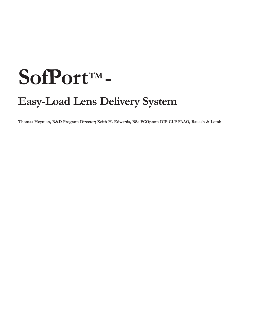# SofPortTM-

# **Easy-Load Lens Delivery System**

**Thomas Heyman, R&D Program Director; Keith H. Edwards, BSc FCOptom DIP CLP FAAO, Bausch & Lomb**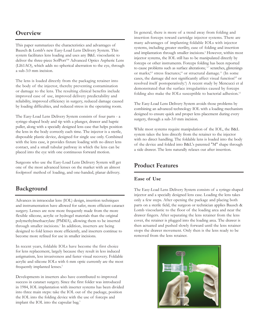### **Overview**

This paper summarizes the characteristics and advantages of Bausch & Lomb's new Easy-Load Lens Delivery System. This system facilitates lens loading and uses any B&L viscoelastic to deliver the three-piece SofPort<sup>TM</sup> Advanced Optics Aspheric Lens (LI61AO), which adds no spherical aberration to the eye, through a sub-3.0 mm incision.

The lens is loaded directly from the packaging retainer into the body of the injector, thereby preventing contamination or damage to the lens. The resulting clinical benefits include improved ease of use, improved delivery predictability and reliability, improved efficiency in surgery, reduced damage caused by loading difficulties, and reduced stress in the operating room.

The Easy-Load Lens Delivery System consists of four parts - a syringe-shaped body and tip with a plunger, drawer and haptic puller, along with a specially designed lens case that helps position the lens in the body correctly each time. The injector is a sterile, disposable plastic device, designed for single use only. Combined with the lens case, it provides fixture loading with no direct lens contact, and a small tubular pathway in which the lens can be placed into the eye with one continuous forward motion.

Surgeons who use the Easy-Load Lens Delivery System will get one of the most advanced lenses on the market with an almost foolproof method of loading, and one-handed, planar delivery.

# **Background**

Advances in intraocular lens (IOL) design, insertion techniques and instrumentation have allowed for safer, more efficient cataract surgery. Lenses are now more frequently made from the more flexible silicone, acrylic or hydrogel materials than the original polymethylmethacrylate (PMMA), allowing them to be inserted through smaller incisions.<sup>1</sup> In addition, inserters are being designed to fold lenses more efficiently, and inserters continue to become more refined for use in smaller incisions.

In recent years, foldable IOLs have become the first choice for lens replacement, largely because they result in less induced astigmatism, less invasiveness and faster visual recovery. Foldable acrylic and silicone IOLs with 6 mm optic currently are the most frequently implanted lenses.<sup>2</sup>

Developments in inserters also have contributed to improved success in cataract surgery. Since the first folder was introduced in 1984, IOL implantation with inserter systems has been divided into three main steps: take the IOL out of the package, position the IOL into the folding device with the use of forceps and implant the IOL into the capsular bag.<sup>3</sup>

In general, there is more of a trend away from folding and insertion forceps toward cartridge injector systems. There are many advantages of implanting foldable IOLs with injector systems, including greater sterility, ease of folding and insertion and implantation through smaller incisions.<sup>4</sup> However, within most injector systems, the IOL still has to be manipulated directly by forceps or other instruments. Forceps folding has been reported to cause problems such as surface alterations;  $57$  scratches, glistenings or marks;<sup>8,9</sup> stress fractures;<sup>10</sup> or structural damage.<sup>11</sup> (In some cases, the damage did not significantly affect visual function<sup>8,9</sup> or resolved itself postoperatively.<sup>6</sup>) A recent study by Mencucci et al demonstrated that the surface irregularities caused by forceps folding also make the IOLs susceptible to bacterial adhesion.<sup>12</sup>

The Easy-Load Lens Delivery System avoids those problems by combining an advanced technology IOL with a loading mechanism designed to ensure quick and proper lens placement during every surgery, through a sub-3.0 mm incision.

While most systems require manipulation of the IOL, the B&L system takes the lens directly from the retainer to the injector with no direct handling. The foldable lens is loaded into the body of the device and folded into B&L's patented "M" shape through a side drawer. The lens naturally relaxes out after insertion.

## **Product Features**

#### **Ease of Use**

The Easy-Load Lens Delivery System consists of a syringe-shaped injector and a specially designed lens case. Loading the lens takes only a few steps. After opening the package and placing both parts on a sterile field, the surgeon or technician applies Bausch & Lomb viscoelastic to the floor of the loading area and near the drawer fingers. After separating the lens retainer from the lens cover, the retainer is plugged into the loading area. The drawer is then actuated and pushed slowly forward until the lens retainer stops the drawer movement. Only then is the lens ready to be removed from the lens retainer.

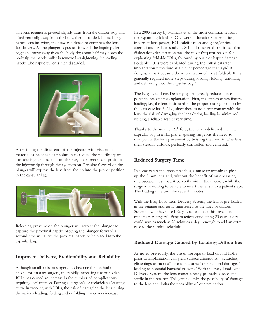The lens retainer is pivoted slightly away from the drawer stop and lifted vertically away from the body, then discarded. Immediately before lens insertion, the drawer is closed to compress the lens for delivery. As the plunger is pushed forward, the haptic puller begins to move away from the body tip; about half way down the body tip the haptic puller is removed straightening the leading haptic. The haptic puller is then discarded.



After filling the distal end of the injector with viscoelastic material or balanced salt solution to reduce the possibility of introducing air pockets into the eye, the surgeon can position the injector tip through the eye incision. Pressing forward on the plunger will express the lens from the tip into the proper position in the capsular bag.



Releasing pressure on the plunger will retract the plunger to capture the proximal haptic. Moving the plunger forward a second time will allow the proximal haptic to be placed into the capsular bag.

#### **Improved Delivery, Predictability and Reliability**

Although small-incision surgery has become the method of choice for cataract surgery, the rapidly increasing use of foldable IOLs has caused an increase in the number of complications requiring explantation. During a surgeon's or technician's learning curve in working with IOLs, the risk of damaging the lens during the various loading, folding and unfolding maneuvers increases.

In a 2003 survey by Mamalis et al, the most common reasons for explanting foldable IOLs were dislocation/decentration, incorrect lens power, IOL calcification and glare/optical aberrations.13 A later study by Schmidbauer et al confirmed that dislocation/decentration was the most frequent reason for explanting foldable IOLs, followed by optic or haptic damage. Foldable IOLs were explanted during the initial cataract implantation procedure at a higher percentage than rigid IOL designs, in part because the implantation of most foldable IOLs generally required more steps during loading, folding, unfolding and delivering into the capsular bag.14

The Easy-Load Lens Delivery System greatly reduces these potential reasons for explantation. First, the system offers fixture loading; i.e., the lens is situated in the proper loading position by the lens case itself. Also, since there is no direct contact with the lens, the risk of damaging the lens during loading is minimized, yielding a reliable result every time.

Thanks to the unique "M" fold, the lens is delivered into the capsular bag in a flat plane, sparing surgeons the need to manipulate the lens placement by twisting their wrists. The lens then steadily unfolds, perfectly controlled and centered.

#### **Reduced Surgery Time**

In some cataract surgery practices, a nurse or technician picks up the 6 mm lens and, without the benefit of an operating microscope, must load it correctly within the injector, while the surgeon is waiting to be able to insert the lens into a patient's eye. The loading time can take several minutes.

With the Easy-Load Lens Delivery System, the lens is pre-loaded in the retainer and easily transferred to the injector drawer. Surgeons who have used Easy-Load estimate this saves them minutes per surgery.15 Busy practices conducting 20 cases a day could save as much as 20 minutes a day - enough to add an extra case to the surgical schedule.

#### **Reduced Damage Caused by Loading Difficulties**

As noted previously, the use of forceps to load or fold IOLs prior to implantation can yield surface alterations;<sup>5-7</sup> scratches, glistenings or marks;<sup>8,9</sup> stress fractures;<sup>10</sup> or structural damage,<sup>11</sup> leading to potential bacterial growth.12 With the Easy-Load Lens Delivery System, the lens comes already properly loaded and sterile in the retainer. This greatly limits the possibility of damage to the lens and limits the possibility of contamination.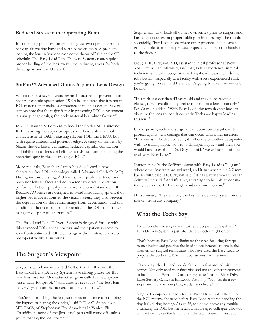#### **Reduced Stress in the Operating Room**

In some busy practices, surgeons may use two operating rooms per day, alternating back and forth between cases. A problem loading the lens in just one case could throw off the entire OR schedule. The Easy-Load Lens Delivery System ensures quick, proper loading of the lens every time, reducing stress for both the surgeon and the OR staff.

#### **SofPort™ Advanced Optics Aspheric Lens Design**

Within the past several years, research focused on prevention of posterior capsule opacification (PCO) has indicated that it is not the IOL material that makes a difference as much as design. Several authors note that the major factor in preventing PCO development is a sharp-edge design; the optic material is a minor factor.<sup>16-18</sup>

In 2003, Bausch & Lomb introduced the SoFlex SE, a silicone IOL featuring the superior optics and favorable materials characteristic of B&L's existing silicone IOL, the LI61U, but with square anterior and posterior edges. A study of this lens by Nixon showed better centration, reduced capsular contraction and inhibition of lens epithelial cells (LECs) from colonizing the posterior optic in the square-edged IOL.19

More recently, Bausch & Lomb has developed a new aberration-free IOL technology called Advanced Optics™ (AO). During in-house testing, AO lenses, with prolate anterior and posterior lens surfaces and no inherent spherical aberration, performed better optically than a well-centered standard IOL. Because AO lenses are designed to avoid introducing spherical or higher-order aberrations to the visual system, they also prevent the degradation of the retinal image from decentration and tilt, conditions that can compromise acuity if the IOL has positive or negative spherical aberration.<sup>20</sup>

The Easy-Load Lens Delivery System is designed for use with this advanced IOL, giving doctors and their patients access to wavefront-optimized IOL technology without intraoperative or postoperative visual surprises.

# **The Surgeon's Viewpoint**

Surgeons who have implanted SofPort AO IOLs with the Easy-Load Lens Delivery System have strong praise for this new lens inserter. One cataract surgeon calls the new system "essentially foolproof,"<sup>21</sup> and another sees it as "the best lens delivery system on the market, from any company."<sup>22</sup>

"You're not touching the lens, so there's no chance of crimping the haptics or tearing the optics," said P. Dee G. Stephenson, MD, FACS, of Stephenson Eye Associates in Venice, Fla. "In addition, none of the [lens case] parts will come off unless you're loading the lens correctly."

Stephenson, who loads all of her own lenses prior to surgery and has taught courses on proper folding techniques, says she can do so quickly, "but I could see where other practices could save a good couple of minutes per case, especially if the scrub hands it to the doctor."

Douglas K. Grayson, MD, assistant clinical professor at New York Eye & Ear Infirmary, said that, in his experience, surgical technicians quickly recognize that Easy-Load helps them do their jobs better. "Especially at a facility with a less experienced staff, you're going to see the difference. It's going to save time overall," he said.

"If a tech is older than 43 years old and they need reading glasses, they have difficulty seeing to position a lens accurately," Dr. Grayson added. "With Easy-Load, the tech doesn't have to visualize the lens to load it correctly. Techs are happy loading this lens."

Consequently, tech and surgeon can count on Easy-Load to protect against lens damage that can occur with other inserters. "If a lens isn't loaded correctly, it will come out either decapitated with no trailing haptic, or with a damaged haptic - and then you would have to explant," Dr. Grayson said. "We've had no mis-loads at all with Easy-Load."

Intraoperatively, the SofPort system with Easy-Load is "elegant" where other inserters are awkward, and it surmounts the 2.7-mm barrier with ease, Dr. Grayson said. "It has a very smooth, planar delivery," he said. "And it's a big advantage to be able to consistently deliver the IOL through a sub-2.7 mm incision."

His summary: "It's definitely the best lens delivery system on the market, from any company."

# **What the Techs Say**

For an ophthalmic surgical tech with presbyopia, the Easy-Load<sup>TM</sup> Lens Delivery System is just what the eye doctor might order.

That's because Easy-Load eliminates the need for using forceps to manipulate and position the hard-to-see intraocular lens in the inserter, say surgical technicians who have used the Easy-Load to prepare the SofPort TMAO intraocular lens for insertion.

"It comes preloaded and you don't have to fuss around with the haptics. You only need your fingertips and not any other instruments to load it," said Fernando Caro, a surgical tech at the River Drive Laser Surgery Center in Elmwood Park, N.J. "You just do a few steps, and the lens is in place, ready for delivery."

Nigeria Thompson, a fellow tech at River Drive, noted that all of the IOL systems she used before Easy-Load required handling the tiny IOL during loading. At age 26, she doesn't have any trouble visualizing the IOL, but she recalls a middle-aged colleague who was unable to easily see the lens and left the cataract area in frustration.